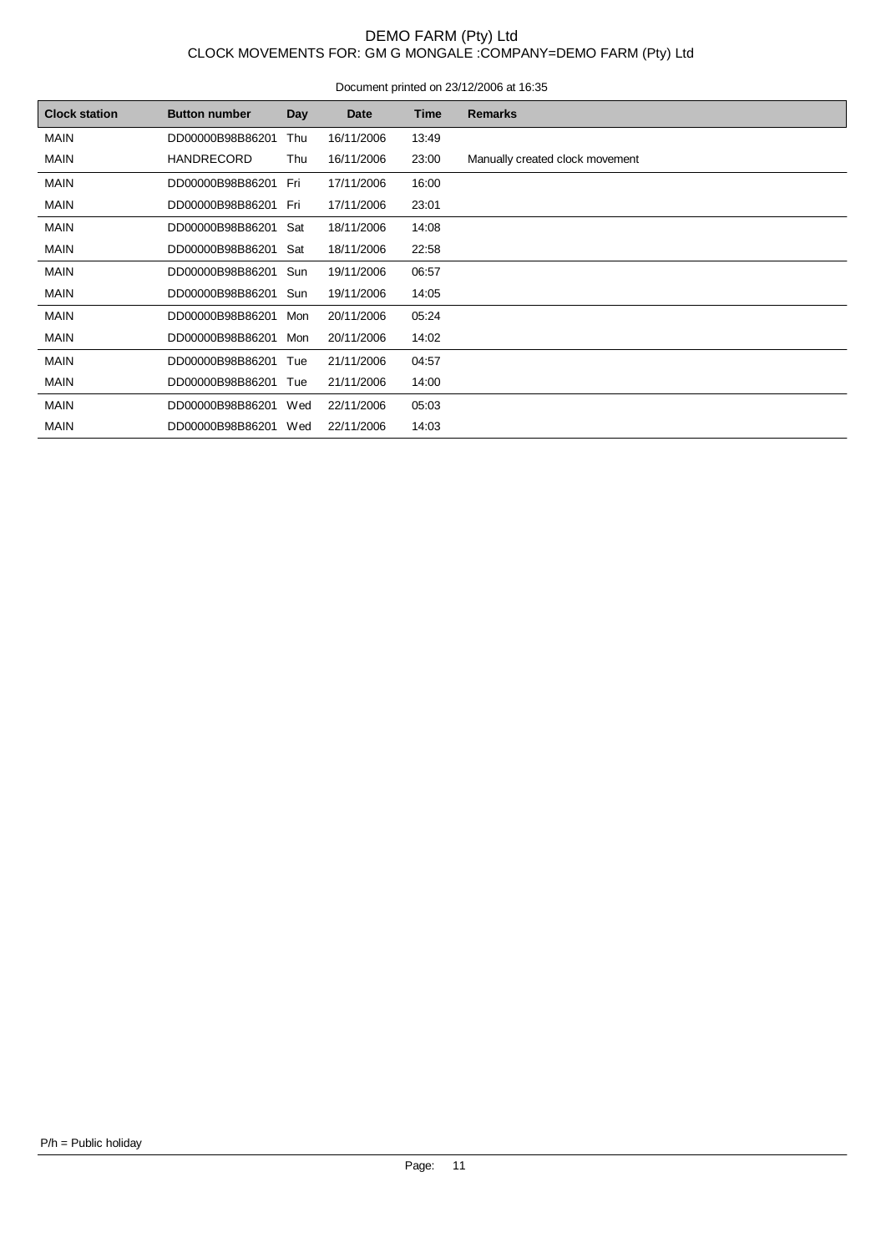### DEMO FARM (Pty) Ltd CLOCK MOVEMENTS FOR: GM G MONGALE :COMPANY=DEMO FARM (Pty) Ltd

|                      | <u>2000.001.001.001.001.001.000 12.000 12.000 12.000 12.000 12.000 12.000 12.000 12.000 12.000 12.000 1</u> |     |            |       |                                 |  |  |  |  |  |  |  |
|----------------------|-------------------------------------------------------------------------------------------------------------|-----|------------|-------|---------------------------------|--|--|--|--|--|--|--|
| <b>Clock station</b> | <b>Button number</b>                                                                                        | Day | Date       | Time  | <b>Remarks</b>                  |  |  |  |  |  |  |  |
| <b>MAIN</b>          | DD00000B98B86201                                                                                            | Thu | 16/11/2006 | 13:49 |                                 |  |  |  |  |  |  |  |
| <b>MAIN</b>          | <b>HANDRECORD</b>                                                                                           | Thu | 16/11/2006 | 23:00 | Manually created clock movement |  |  |  |  |  |  |  |
| <b>MAIN</b>          | DD00000B98B86201                                                                                            | Fri | 17/11/2006 | 16:00 |                                 |  |  |  |  |  |  |  |
| <b>MAIN</b>          | DD00000B98B86201                                                                                            | Fri | 17/11/2006 | 23:01 |                                 |  |  |  |  |  |  |  |
| <b>MAIN</b>          | DD00000B98B86201                                                                                            | Sat | 18/11/2006 | 14:08 |                                 |  |  |  |  |  |  |  |
| <b>MAIN</b>          | DD00000B98B86201                                                                                            | Sat | 18/11/2006 | 22:58 |                                 |  |  |  |  |  |  |  |
| <b>MAIN</b>          | DD00000B98B86201                                                                                            | Sun | 19/11/2006 | 06:57 |                                 |  |  |  |  |  |  |  |
| <b>MAIN</b>          | DD00000B98B86201                                                                                            | Sun | 19/11/2006 | 14:05 |                                 |  |  |  |  |  |  |  |
| <b>MAIN</b>          | DD00000B98B86201                                                                                            | Mon | 20/11/2006 | 05:24 |                                 |  |  |  |  |  |  |  |
| <b>MAIN</b>          | DD00000B98B86201                                                                                            | Mon | 20/11/2006 | 14:02 |                                 |  |  |  |  |  |  |  |
| <b>MAIN</b>          | DD00000B98B86201                                                                                            | Tue | 21/11/2006 | 04:57 |                                 |  |  |  |  |  |  |  |
| <b>MAIN</b>          | DD00000B98B86201                                                                                            | Tue | 21/11/2006 | 14:00 |                                 |  |  |  |  |  |  |  |
| <b>MAIN</b>          | DD00000B98B86201                                                                                            | Wed | 22/11/2006 | 05:03 |                                 |  |  |  |  |  |  |  |
| <b>MAIN</b>          | DD00000B98B86201                                                                                            | Wed | 22/11/2006 | 14:03 |                                 |  |  |  |  |  |  |  |
|                      |                                                                                                             |     |            |       |                                 |  |  |  |  |  |  |  |

#### Document printed on 23/12/2006 at 16:35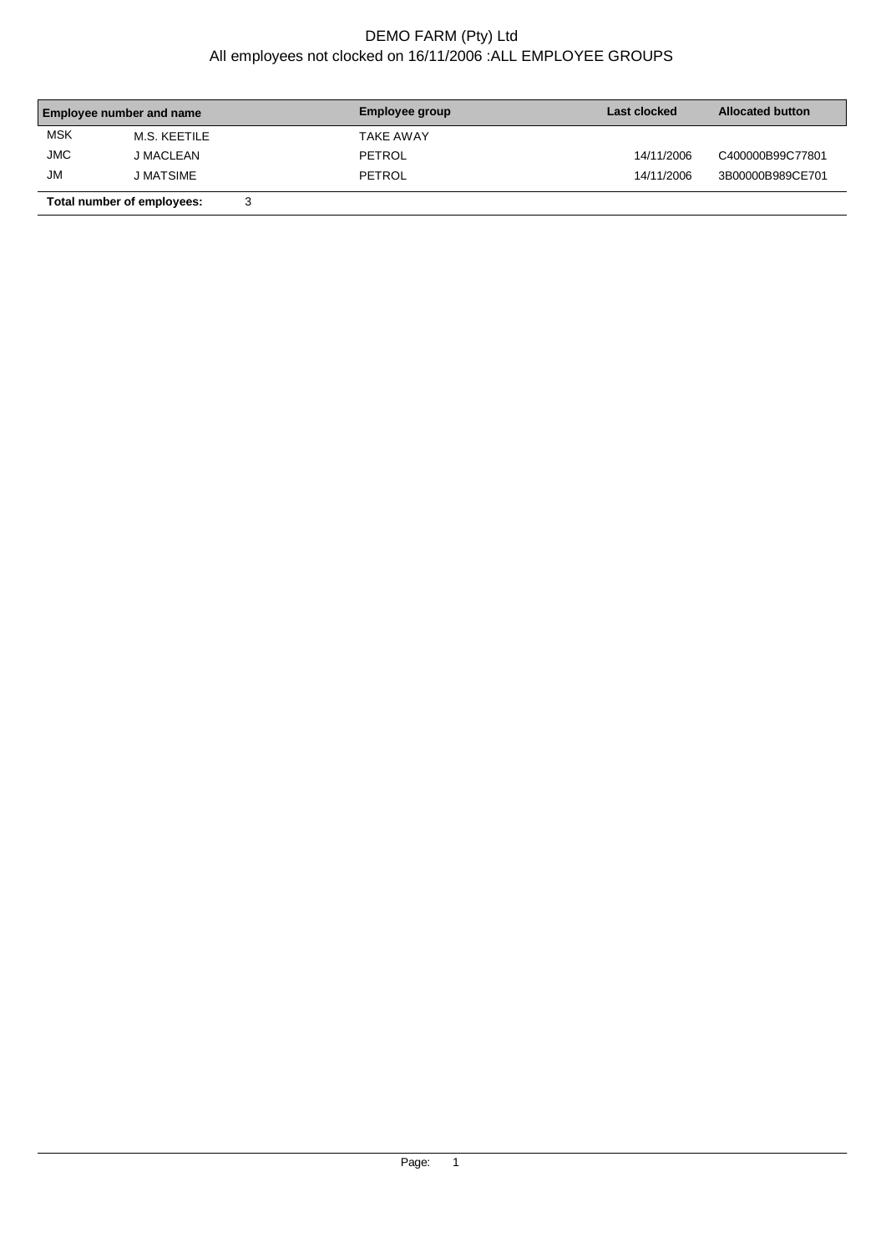## DEMO FARM (Pty) Ltd All employees not clocked on 16/11/2006 :ALL EMPLOYEE GROUPS

| <b>Employee number and name</b> |                            | Employee group | Last clocked     | <b>Allocated button</b> |                  |  |
|---------------------------------|----------------------------|----------------|------------------|-------------------------|------------------|--|
| <b>MSK</b>                      | M.S. KEETILE               |                | <b>TAKE AWAY</b> |                         |                  |  |
| <b>JMC</b>                      | J MACLEAN                  |                | PETROL           | 14/11/2006              | C400000B99C77801 |  |
| <b>JM</b>                       | <b>J MATSIME</b>           |                | PETROL           | 14/11/2006              | 3B00000B989CE701 |  |
|                                 | Total number of employees: | 3              |                  |                         |                  |  |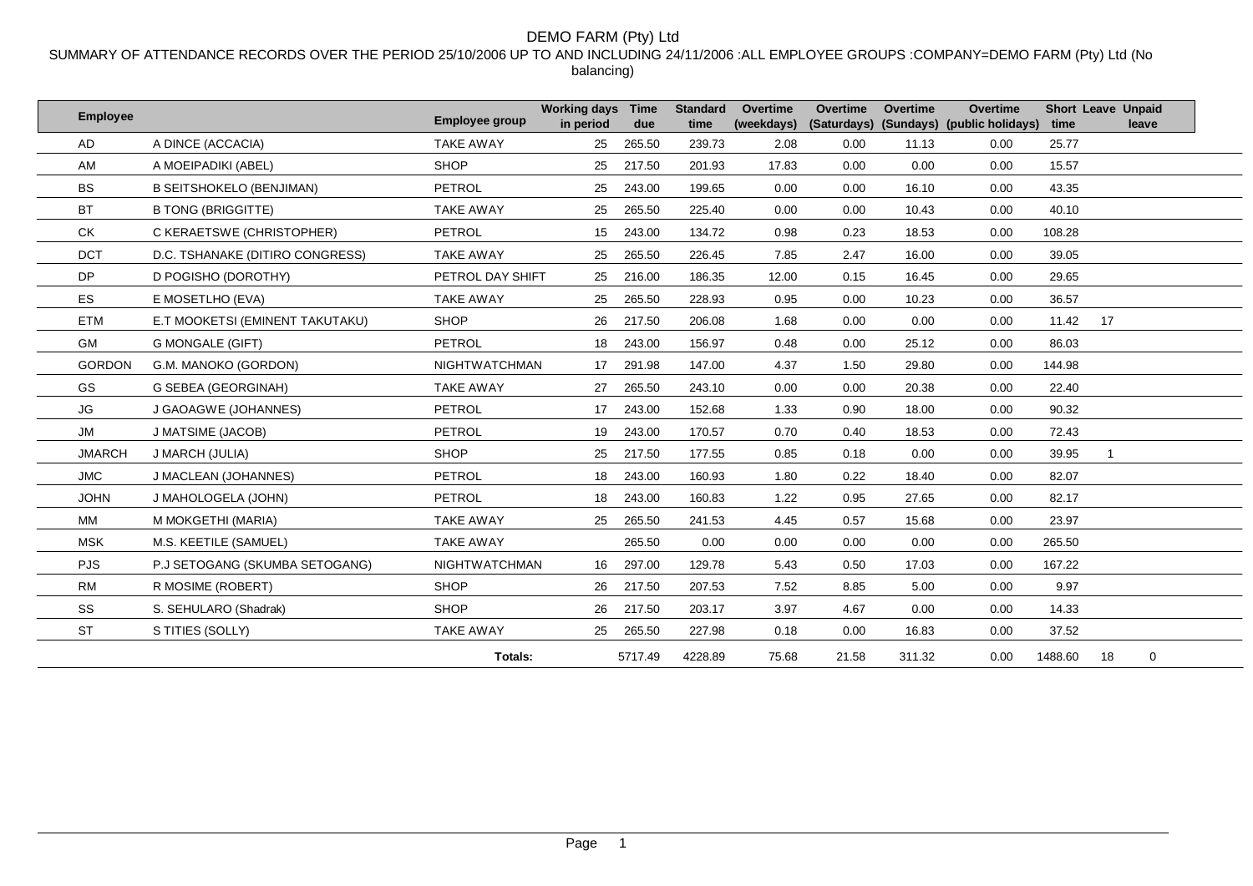#### DEMO FARM (Pty) Ltd

SUMMARY OF ATTENDANCE RECORDS OVER THE PERIOD 25/10/2006 UP TO AND INCLUDING 24/11/2006 :ALL EMPLOYEE GROUPS :COMPANY=DEMO FARM (Pty) Ltd (No balancing)

| <b>Employee</b> |                                 | <b>Employee group</b> | <b>Working days</b><br>in period | Time<br>due | <b>Standard</b><br>time | <b>Overtime</b><br>(weekdays) | Overtime<br>(Saturdays) | <b>Overtime</b> | <b>Overtime</b><br>(Sundays) (public holidays) | time    | <b>Short Leave Unpaid</b><br>leave |
|-----------------|---------------------------------|-----------------------|----------------------------------|-------------|-------------------------|-------------------------------|-------------------------|-----------------|------------------------------------------------|---------|------------------------------------|
| AD.             | A DINCE (ACCACIA)               | <b>TAKE AWAY</b>      | 25                               | 265.50      | 239.73                  | 2.08                          | 0.00                    | 11.13           | 0.00                                           | 25.77   |                                    |
| AM              | A MOEIPADIKI (ABEL)             | <b>SHOP</b>           | 25                               | 217.50      | 201.93                  | 17.83                         | 0.00                    | 0.00            | 0.00                                           | 15.57   |                                    |
| <b>BS</b>       | <b>B SEITSHOKELO (BENJIMAN)</b> | PETROL                | 25                               | 243.00      | 199.65                  | 0.00                          | 0.00                    | 16.10           | 0.00                                           | 43.35   |                                    |
| <b>BT</b>       | <b>B TONG (BRIGGITTE)</b>       | <b>TAKE AWAY</b>      | 25                               | 265.50      | 225.40                  | 0.00                          | 0.00                    | 10.43           | 0.00                                           | 40.10   |                                    |
| CK              | C KERAETSWE (CHRISTOPHER)       | PETROL                | 15                               | 243.00      | 134.72                  | 0.98                          | 0.23                    | 18.53           | 0.00                                           | 108.28  |                                    |
| <b>DCT</b>      | D.C. TSHANAKE (DITIRO CONGRESS) | <b>TAKE AWAY</b>      | 25                               | 265.50      | 226.45                  | 7.85                          | 2.47                    | 16.00           | 0.00                                           | 39.05   |                                    |
| DP              | D POGISHO (DOROTHY)             | PETROL DAY SHIFT      | 25                               | 216.00      | 186.35                  | 12.00                         | 0.15                    | 16.45           | 0.00                                           | 29.65   |                                    |
| <b>ES</b>       | E MOSETLHO (EVA)                | <b>TAKE AWAY</b>      | 25                               | 265.50      | 228.93                  | 0.95                          | 0.00                    | 10.23           | 0.00                                           | 36.57   |                                    |
| <b>ETM</b>      | E.T MOOKETSI (EMINENT TAKUTAKU) | <b>SHOP</b>           | 26                               | 217.50      | 206.08                  | 1.68                          | 0.00                    | 0.00            | 0.00                                           | 11.42   | 17                                 |
| <b>GM</b>       | <b>G MONGALE (GIFT)</b>         | PETROL                | 18                               | 243.00      | 156.97                  | 0.48                          | 0.00                    | 25.12           | 0.00                                           | 86.03   |                                    |
| <b>GORDON</b>   | G.M. MANOKO (GORDON)            | <b>NIGHTWATCHMAN</b>  | 17 <sup>2</sup>                  | 291.98      | 147.00                  | 4.37                          | 1.50                    | 29.80           | 0.00                                           | 144.98  |                                    |
| GS.             | G SEBEA (GEORGINAH)             | <b>TAKE AWAY</b>      | 27                               | 265.50      | 243.10                  | 0.00                          | 0.00                    | 20.38           | 0.00                                           | 22.40   |                                    |
| JG              | J GAOAGWE (JOHANNES)            | PETROL                | 17 <sup>2</sup>                  | 243.00      | 152.68                  | 1.33                          | 0.90                    | 18.00           | 0.00                                           | 90.32   |                                    |
| <b>JM</b>       | J MATSIME (JACOB)               | PETROL                | 19                               | 243.00      | 170.57                  | 0.70                          | 0.40                    | 18.53           | 0.00                                           | 72.43   |                                    |
| <b>JMARCH</b>   | J MARCH (JULIA)                 | <b>SHOP</b>           | 25                               | 217.50      | 177.55                  | 0.85                          | 0.18                    | 0.00            | 0.00                                           | 39.95   |                                    |
| <b>JMC</b>      | J MACLEAN (JOHANNES)            | PETROL                | 18                               | 243.00      | 160.93                  | 1.80                          | 0.22                    | 18.40           | 0.00                                           | 82.07   |                                    |
| <b>JOHN</b>     | J MAHOLOGELA (JOHN)             | PETROL                | 18                               | 243.00      | 160.83                  | 1.22                          | 0.95                    | 27.65           | 0.00                                           | 82.17   |                                    |
| MM              | M MOKGETHI (MARIA)              | <b>TAKE AWAY</b>      | 25                               | 265.50      | 241.53                  | 4.45                          | 0.57                    | 15.68           | 0.00                                           | 23.97   |                                    |
| <b>MSK</b>      | M.S. KEETILE (SAMUEL)           | <b>TAKE AWAY</b>      |                                  | 265.50      | 0.00                    | 0.00                          | 0.00                    | 0.00            | 0.00                                           | 265.50  |                                    |
| <b>PJS</b>      | P.J SETOGANG (SKUMBA SETOGANG)  | <b>NIGHTWATCHMAN</b>  | 16                               | 297.00      | 129.78                  | 5.43                          | 0.50                    | 17.03           | 0.00                                           | 167.22  |                                    |
| <b>RM</b>       | R MOSIME (ROBERT)               | <b>SHOP</b>           | 26                               | 217.50      | 207.53                  | 7.52                          | 8.85                    | 5.00            | 0.00                                           | 9.97    |                                    |
| SS              | S. SEHULARO (Shadrak)           | <b>SHOP</b>           | 26                               | 217.50      | 203.17                  | 3.97                          | 4.67                    | 0.00            | 0.00                                           | 14.33   |                                    |
| <b>ST</b>       | S TITIES (SOLLY)                | <b>TAKE AWAY</b>      | 25                               | 265.50      | 227.98                  | 0.18                          | 0.00                    | 16.83           | 0.00                                           | 37.52   |                                    |
|                 |                                 | Totals:               |                                  | 5717.49     | 4228.89                 | 75.68                         | 21.58                   | 311.32          | 0.00                                           | 1488.60 | 18<br>0                            |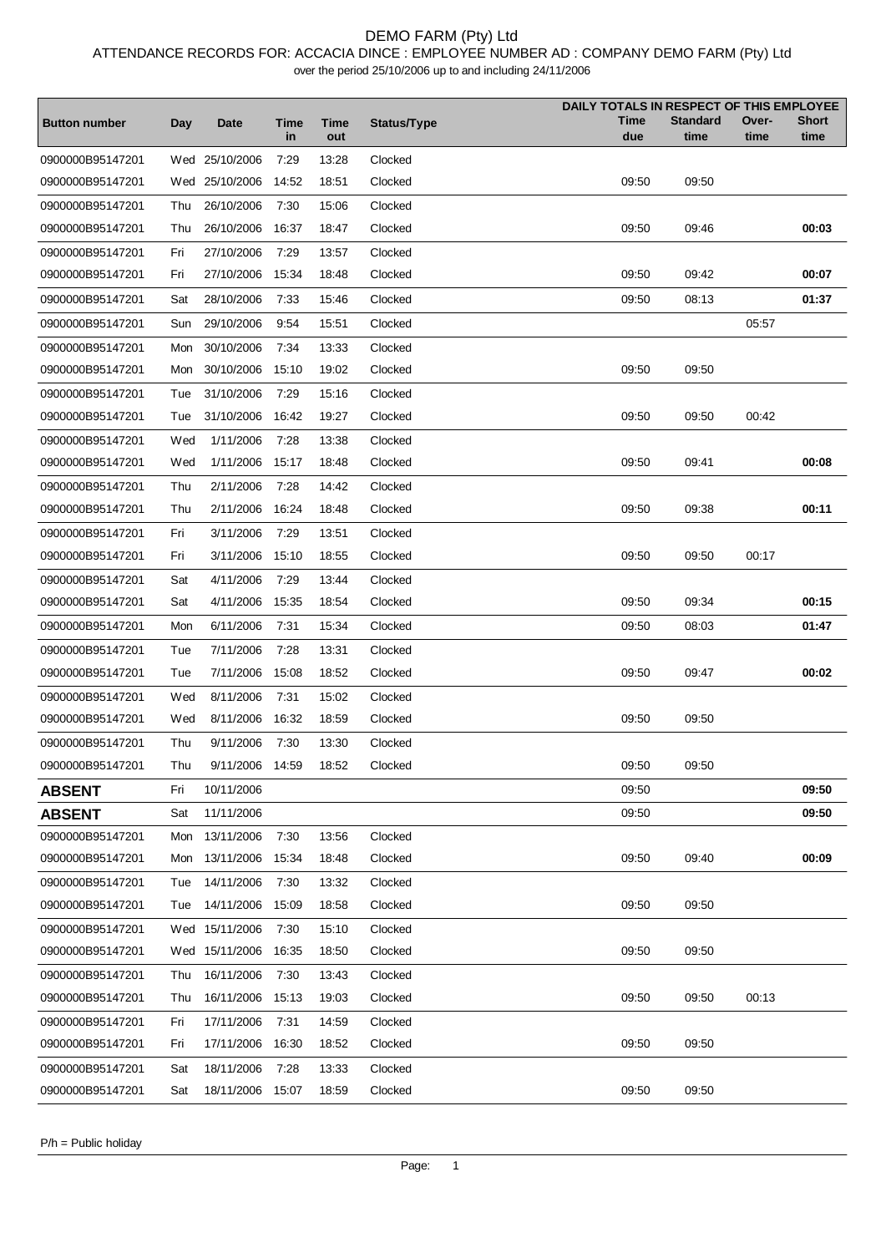### DEMO FARM (Pty) Ltd

ATTENDANCE RECORDS FOR: ACCACIA DINCE : EMPLOYEE NUMBER AD : COMPANY DEMO FARM (Pty) Ltd

over the period 25/10/2006 up to and including 24/11/2006

|                      |     |                  |            |                    |             | DAILY TOTALS IN RESPECT OF THIS EMPLOYEE |                         |               |                      |
|----------------------|-----|------------------|------------|--------------------|-------------|------------------------------------------|-------------------------|---------------|----------------------|
| <b>Button number</b> | Day | <b>Date</b>      | Time<br>in | <b>Time</b><br>out | Status/Type | Time<br>due                              | <b>Standard</b><br>time | Over-<br>time | <b>Short</b><br>time |
| 0900000B95147201     |     | Wed 25/10/2006   | 7:29       | 13:28              | Clocked     |                                          |                         |               |                      |
| 0900000B95147201     |     | Wed 25/10/2006   | 14:52      | 18:51              | Clocked     | 09:50                                    | 09:50                   |               |                      |
| 0900000B95147201     | Thu | 26/10/2006       | 7:30       | 15:06              | Clocked     |                                          |                         |               |                      |
| 0900000B95147201     | Thu | 26/10/2006       | 16:37      | 18:47              | Clocked     | 09:50                                    | 09:46                   |               | 00:03                |
| 0900000B95147201     | Fri | 27/10/2006       | 7:29       | 13:57              | Clocked     |                                          |                         |               |                      |
| 0900000B95147201     | Fri | 27/10/2006       | 15:34      | 18:48              | Clocked     | 09:50                                    | 09:42                   |               | 00:07                |
| 0900000B95147201     | Sat | 28/10/2006       | 7:33       | 15:46              | Clocked     | 09:50                                    | 08:13                   |               | 01:37                |
|                      |     |                  |            |                    |             |                                          |                         |               |                      |
| 0900000B95147201     | Sun | 29/10/2006       | 9:54       | 15:51              | Clocked     |                                          |                         | 05:57         |                      |
| 0900000B95147201     | Mon | 30/10/2006       | 7:34       | 13:33              | Clocked     |                                          |                         |               |                      |
| 0900000B95147201     | Mon | 30/10/2006       | 15:10      | 19:02              | Clocked     | 09:50                                    | 09:50                   |               |                      |
| 0900000B95147201     | Tue | 31/10/2006       | 7:29       | 15:16              | Clocked     |                                          |                         |               |                      |
| 0900000B95147201     | Tue | 31/10/2006       | 16:42      | 19:27              | Clocked     | 09:50                                    | 09:50                   | 00:42         |                      |
| 0900000B95147201     | Wed | 1/11/2006        | 7:28       | 13:38              | Clocked     |                                          |                         |               |                      |
| 0900000B95147201     | Wed | 1/11/2006        | 15:17      | 18:48              | Clocked     | 09:50                                    | 09:41                   |               | 00:08                |
| 0900000B95147201     | Thu | 2/11/2006        | 7:28       | 14:42              | Clocked     |                                          |                         |               |                      |
| 0900000B95147201     | Thu | 2/11/2006        | 16:24      | 18:48              | Clocked     | 09:50                                    | 09:38                   |               | 00:11                |
| 0900000B95147201     | Fri | 3/11/2006        | 7:29       | 13:51              | Clocked     |                                          |                         |               |                      |
| 0900000B95147201     | Fri | 3/11/2006        | 15:10      | 18:55              | Clocked     | 09:50                                    | 09:50                   | 00:17         |                      |
| 0900000B95147201     | Sat | 4/11/2006        | 7:29       | 13:44              | Clocked     |                                          |                         |               |                      |
| 0900000B95147201     | Sat | 4/11/2006        | 15:35      | 18:54              | Clocked     | 09:50                                    | 09:34                   |               | 00:15                |
| 0900000B95147201     | Mon | 6/11/2006        | 7:31       | 15:34              | Clocked     | 09:50                                    | 08:03                   |               | 01:47                |
| 0900000B95147201     | Tue | 7/11/2006        | 7:28       | 13:31              | Clocked     |                                          |                         |               |                      |
| 0900000B95147201     | Tue | 7/11/2006        | 15:08      | 18:52              | Clocked     | 09:50                                    | 09:47                   |               | 00:02                |
| 0900000B95147201     | Wed | 8/11/2006        | 7:31       | 15:02              | Clocked     |                                          |                         |               |                      |
| 0900000B95147201     | Wed | 8/11/2006        | 16:32      | 18:59              | Clocked     | 09:50                                    | 09:50                   |               |                      |
| 0900000B95147201     | Thu | 9/11/2006        | 7:30       | 13:30              | Clocked     |                                          |                         |               |                      |
| 0900000B95147201     | Thu | 9/11/2006        | 14:59      | 18:52              | Clocked     | 09:50                                    | 09:50                   |               |                      |
| <b>ABSENT</b>        | Fri | 10/11/2006       |            |                    |             | 09:50                                    |                         |               | 09:50                |
| <b>ABSENT</b>        | Sat | 11/11/2006       |            |                    |             | 09:50                                    |                         |               | 09:50                |
| 0900000B95147201     | Mon | 13/11/2006       | 7:30       | 13:56              | Clocked     |                                          |                         |               |                      |
| 0900000B95147201     |     | Mon 13/11/2006   | 15:34      | 18:48              | Clocked     | 09:50                                    | 09:40                   |               | 00:09                |
| 0900000B95147201     | Tue | 14/11/2006       | 7:30       | 13:32              | Clocked     |                                          |                         |               |                      |
| 0900000B95147201     | Tue | 14/11/2006       | 15:09      | 18:58              | Clocked     | 09:50                                    | 09:50                   |               |                      |
| 0900000B95147201     |     | Wed 15/11/2006   | 7:30       | 15:10              | Clocked     |                                          |                         |               |                      |
| 0900000B95147201     |     | Wed 15/11/2006   | 16:35      | 18:50              | Clocked     | 09:50                                    | 09:50                   |               |                      |
| 0900000B95147201     | Thu | 16/11/2006       | 7:30       | 13:43              | Clocked     |                                          |                         |               |                      |
| 0900000B95147201     | Thu | 16/11/2006       | 15:13      | 19:03              | Clocked     | 09:50                                    | 09:50                   | 00:13         |                      |
| 0900000B95147201     | Fri | 17/11/2006       | 7:31       | 14:59              | Clocked     |                                          |                         |               |                      |
| 0900000B95147201     | Fri | 17/11/2006       | 16:30      | 18:52              | Clocked     | 09:50                                    | 09:50                   |               |                      |
| 0900000B95147201     | Sat | 18/11/2006       | 7:28       | 13:33              | Clocked     |                                          |                         |               |                      |
| 0900000B95147201     | Sat | 18/11/2006 15:07 |            | 18:59              | Clocked     | 09:50                                    | 09:50                   |               |                      |

P/h = Public holiday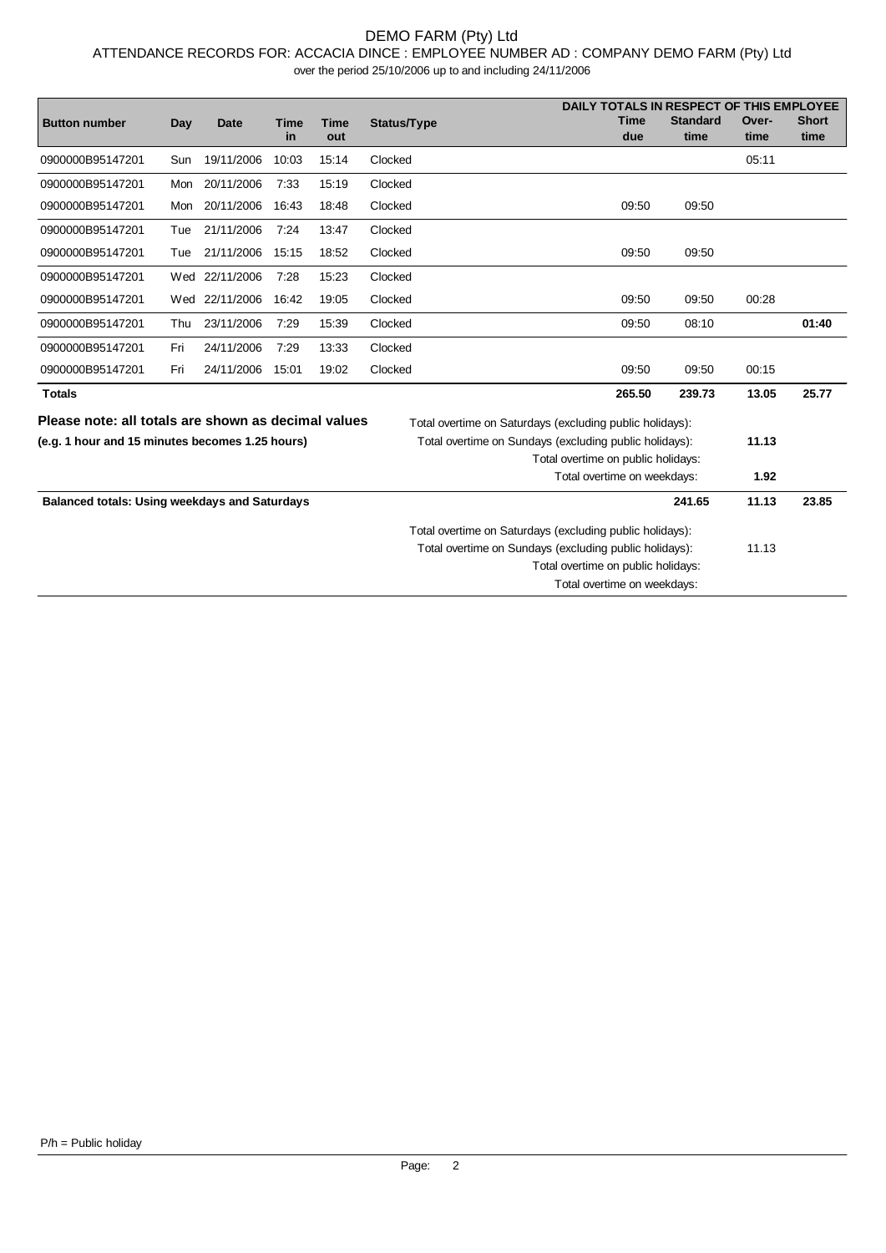### DEMO FARM (Pty) Ltd

ATTENDANCE RECORDS FOR: ACCACIA DINCE : EMPLOYEE NUMBER AD : COMPANY DEMO FARM (Pty) Ltd

over the period 25/10/2006 up to and including 24/11/2006

|                                                      |     |                |                   |                    |                                                          | DAILY TOTALS IN RESPECT OF THIS EMPLOYEE |                         |               |                      |
|------------------------------------------------------|-----|----------------|-------------------|--------------------|----------------------------------------------------------|------------------------------------------|-------------------------|---------------|----------------------|
| <b>Button number</b>                                 | Day | <b>Date</b>    | <b>Time</b><br>in | <b>Time</b><br>out | Status/Type                                              | Time<br>due                              | <b>Standard</b><br>time | Over-<br>time | <b>Short</b><br>time |
| 0900000B95147201                                     | Sun | 19/11/2006     | 10:03             | 15:14              | Clocked                                                  |                                          |                         | 05:11         |                      |
| 0900000B95147201                                     | Mon | 20/11/2006     | 7:33              | 15:19              | Clocked                                                  |                                          |                         |               |                      |
| 0900000B95147201                                     | Mon | 20/11/2006     | 16:43             | 18:48              | Clocked                                                  | 09:50                                    | 09:50                   |               |                      |
| 0900000B95147201                                     | Tue | 21/11/2006     | 7:24              | 13:47              | Clocked                                                  |                                          |                         |               |                      |
| 0900000B95147201                                     | Tue | 21/11/2006     | 15:15             | 18:52              | Clocked                                                  | 09:50                                    | 09:50                   |               |                      |
| 0900000B95147201                                     |     | Wed 22/11/2006 | 7:28              | 15:23              | Clocked                                                  |                                          |                         |               |                      |
| 0900000B95147201                                     | Wed | 22/11/2006     | 16:42             | 19:05              | Clocked                                                  | 09:50                                    | 09:50                   | 00:28         |                      |
| 0900000B95147201                                     | Thu | 23/11/2006     | 7:29              | 15:39              | Clocked                                                  | 09:50                                    | 08:10                   |               | 01:40                |
| 0900000B95147201                                     | Fri | 24/11/2006     | 7:29              | 13:33              | Clocked                                                  |                                          |                         |               |                      |
| 0900000B95147201                                     | Fri | 24/11/2006     | 15:01             | 19:02              | Clocked                                                  | 09:50                                    | 09:50                   | 00:15         |                      |
| <b>Totals</b>                                        |     |                |                   |                    |                                                          | 265.50                                   | 239.73                  | 13.05         | 25.77                |
| Please note: all totals are shown as decimal values  |     |                |                   |                    | Total overtime on Saturdays (excluding public holidays): |                                          |                         |               |                      |
| (e.g. 1 hour and 15 minutes becomes 1.25 hours)      |     |                |                   |                    | Total overtime on Sundays (excluding public holidays):   |                                          |                         | 11.13         |                      |
|                                                      |     |                |                   |                    |                                                          | Total overtime on public holidays:       |                         |               |                      |
|                                                      |     |                |                   |                    |                                                          | Total overtime on weekdays:              |                         | 1.92          |                      |
| <b>Balanced totals: Using weekdays and Saturdays</b> |     |                |                   |                    |                                                          |                                          | 241.65                  | 11.13         | 23.85                |
|                                                      |     |                |                   |                    | Total overtime on Saturdays (excluding public holidays): |                                          |                         |               |                      |
|                                                      |     |                |                   |                    | Total overtime on Sundays (excluding public holidays):   |                                          |                         | 11.13         |                      |
|                                                      |     |                |                   |                    |                                                          | Total overtime on public holidays:       |                         |               |                      |
|                                                      |     |                |                   |                    |                                                          | Total overtime on weekdays:              |                         |               |                      |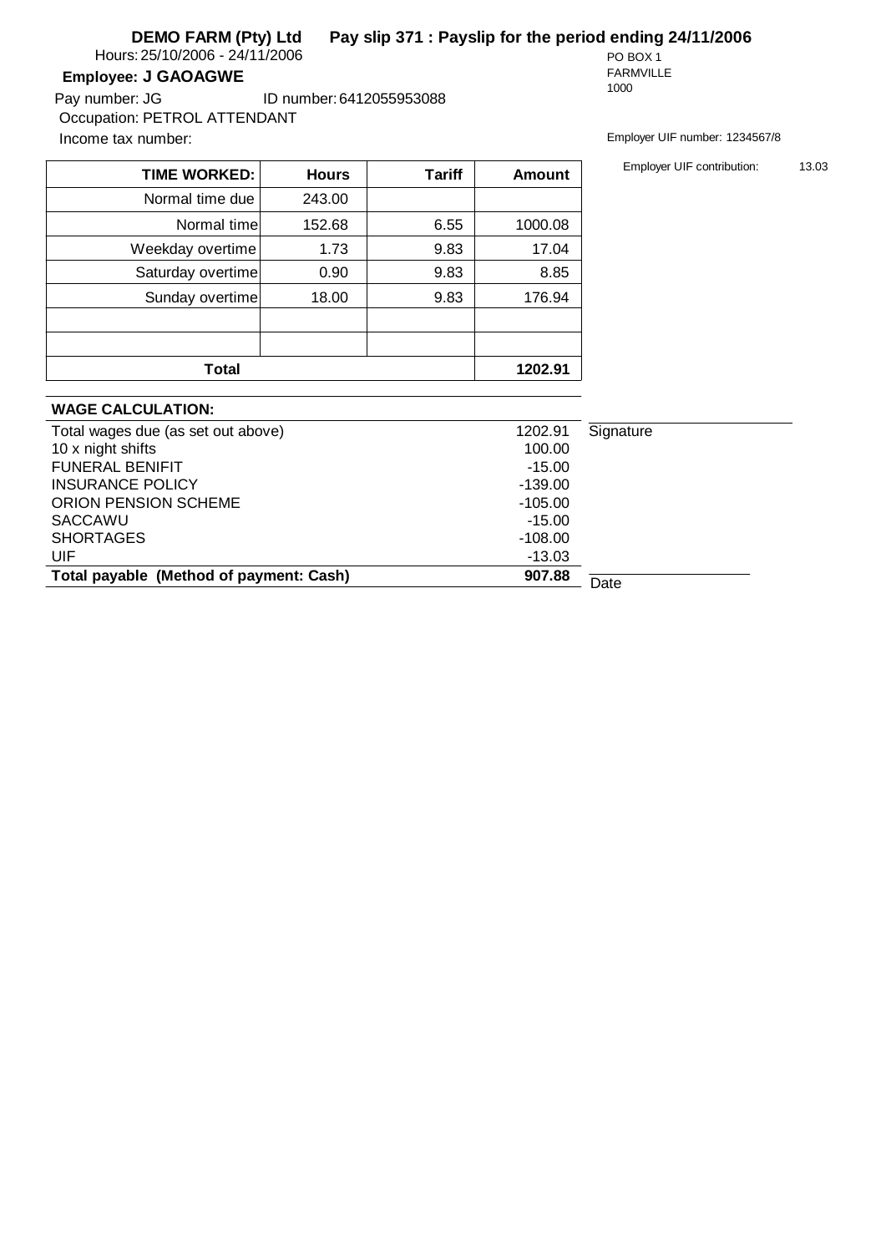**DEMO FARM (Pty) Ltd Pay slip 371 : Payslip for the period ending 24/11/2006**

Hours: 25/10/2006 - 24/11/2006 PO BOX 1

### **Employee: J GAOAGWE**

Income tax number: Employer UIF number: 1234567/8 ID number:6412055953088 Pay number: JG Occupation: PETROL ATTENDANT

FARMVILLE 1000

| <b>Hours</b> | <b>Tariff</b>                                                                                                     | <b>Amount</b> |
|--------------|-------------------------------------------------------------------------------------------------------------------|---------------|
| 243.00       |                                                                                                                   |               |
| 152.68       | 6.55                                                                                                              | 1000.08       |
| 1.73         | 9.83                                                                                                              | 17.04         |
| 0.90         | 9.83                                                                                                              | 8.85          |
| 18.00        | 9.83                                                                                                              | 176.94        |
|              |                                                                                                                   |               |
|              |                                                                                                                   |               |
|              |                                                                                                                   | 1202.91       |
|              | <b>TIME WORKED:</b><br>Normal time due<br>Normal time<br>Weekday overtime<br>Saturday overtime<br>Sunday overtime |               |

### **WAGE CALCULATION:**

| Total wages due (as set out above)      | 1202.91   | Signature |
|-----------------------------------------|-----------|-----------|
| 10 x night shifts                       | 100.00    |           |
| <b>FUNERAL BENIFIT</b>                  | $-15.00$  |           |
| <b>INSURANCE POLICY</b>                 | $-139.00$ |           |
| ORION PENSION SCHEME                    | $-105.00$ |           |
| SACCAWU                                 | $-15.00$  |           |
| <b>SHORTAGES</b>                        | $-108.00$ |           |
| UIF                                     | $-13.03$  |           |
| Total payable (Method of payment: Cash) | 907.88    | Date      |
|                                         |           |           |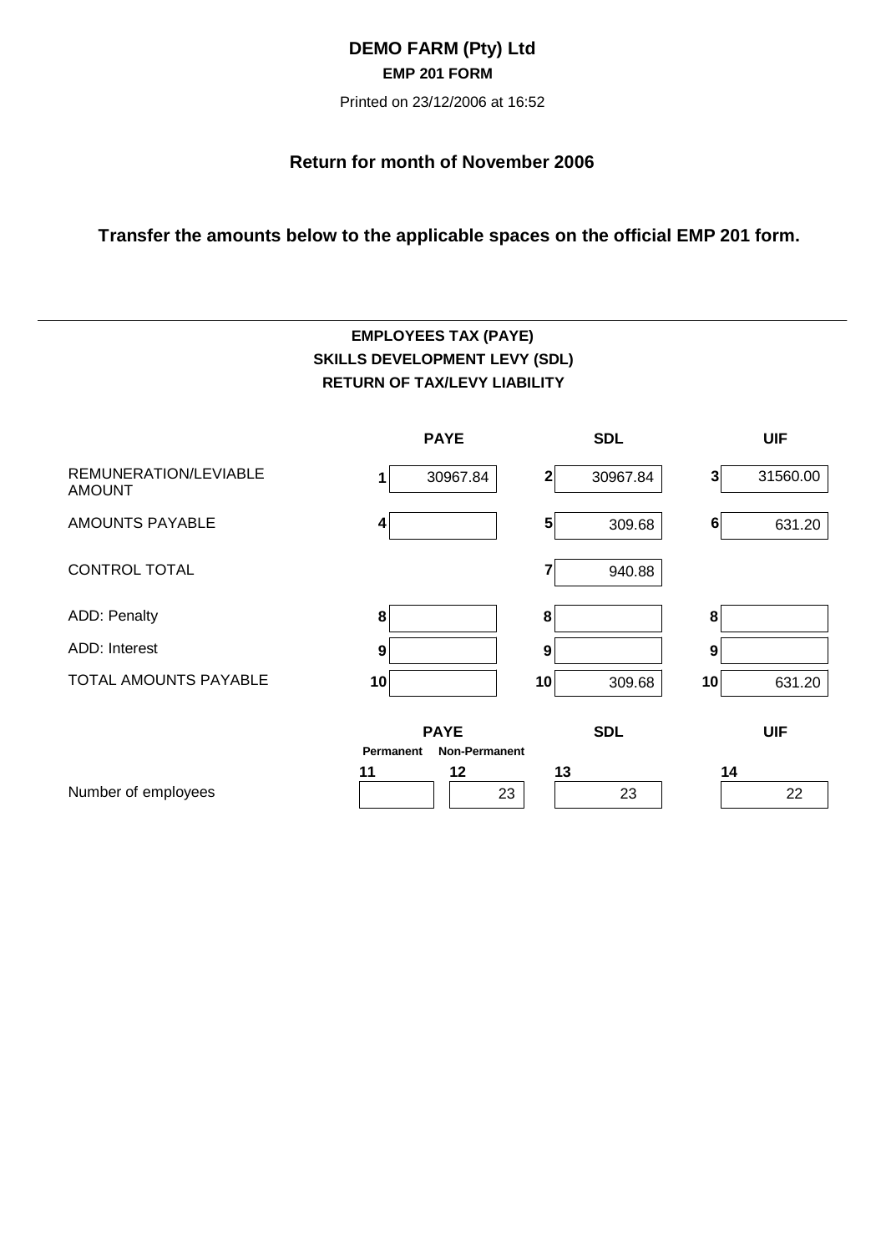## **DEMO FARM (Pty) Ltd EMP 201 FORM**

Printed on 23/12/2006 at 16:52

## **Return for month of November 2006**

## **Transfer the amounts below to the applicable spaces on the official EMP 201 form.**

# **EMPLOYEES TAX (PAYE) SKILLS DEVELOPMENT LEVY (SDL) RETURN OF TAX/LEVY LIABILITY**